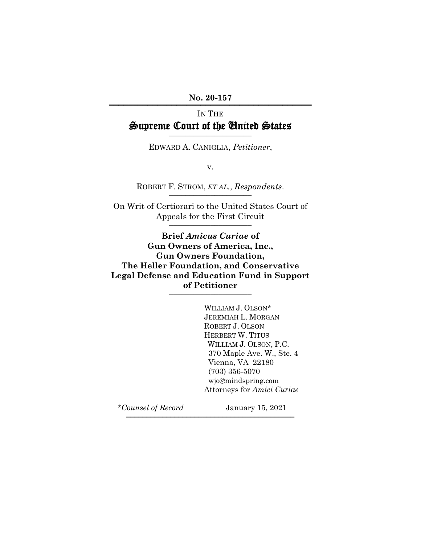No. 20-157

# IN THE Supreme Court of the United States

EDWARD A. CANIGLIA, *Petitioner*,

v.

ROBERT F. STROM, *ET AL.*, *Respondents.* 

On Writ of Certiorari to the United States Court of Appeals for the First Circuit \_\_\_\_\_\_\_\_\_\_\_\_\_\_\_\_\_\_\_\_

**Brief** *Amicus Curiae* **of Gun Owners of America, Inc., Gun Owners Foundation, The Heller Foundation, and Conservative Legal Defense and Education Fund in Support of Petitioner** \_\_\_\_\_\_\_\_\_\_\_\_\_\_\_\_\_\_\_\_

444444444444444444444444444444444444444444

WILLIAM J. OLSON\* JEREMIAH L. MORGAN ROBERT J. OLSON HERBERT W. TITUS WILLIAM J. OLSON, P.C. 370 Maple Ave. W., Ste. 4 Vienna, VA 22180 (703) 356-5070 wjo@mindspring.com Attorneys for *Amici Curiae*

\**Counsel of Record* January 15, 2021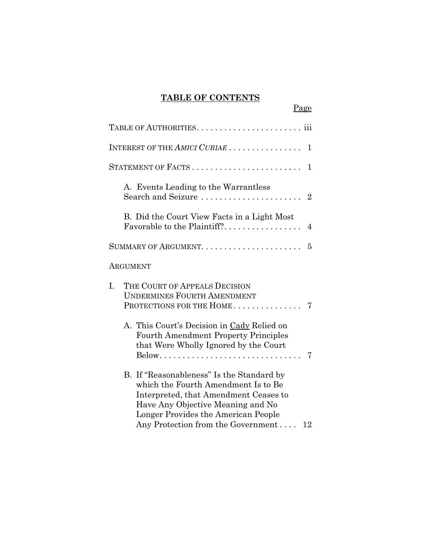## **TABLE OF CONTENTS**

Page

| INTEREST OF THE AMICI CURIAE<br>1                                                                                                                                                                                                                 |
|---------------------------------------------------------------------------------------------------------------------------------------------------------------------------------------------------------------------------------------------------|
| $\mathbf{1}$                                                                                                                                                                                                                                      |
| A. Events Leading to the Warrantless<br>Search and Seizure<br>$\overline{2}$                                                                                                                                                                      |
| B. Did the Court View Facts in a Light Most<br>Favorable to the Plaintiff?<br>$\overline{4}$                                                                                                                                                      |
| 5                                                                                                                                                                                                                                                 |
| ARGUMENT                                                                                                                                                                                                                                          |
| I.<br>THE COURT OF APPEALS DECISION<br><b>UNDERMINES FOURTH AMENDMENT</b><br>PROTECTIONS FOR THE HOME<br>7                                                                                                                                        |
| A. This Court's Decision in Cady Relied on<br><b>Fourth Amendment Property Principles</b><br>that Were Wholly Ignored by the Court<br>7                                                                                                           |
| B. If "Reasonableness" Is the Standard by<br>which the Fourth Amendment Is to Be<br>Interpreted, that Amendment Ceases to<br>Have Any Objective Meaning and No<br>Longer Provides the American People<br>Any Protection from the Government<br>12 |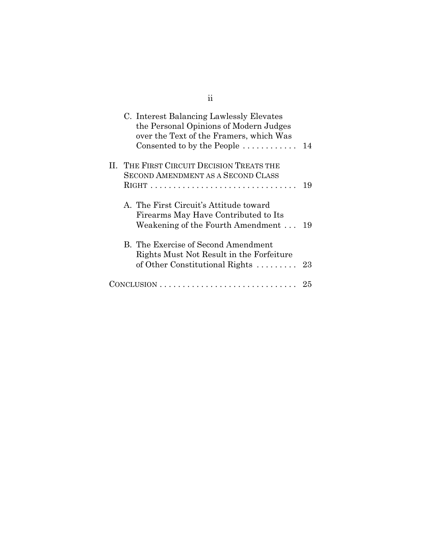| C. Interest Balancing Lawlessly Elevates<br>the Personal Opinions of Modern Judges<br>over the Text of the Framers, which Was<br>Consented to by the People $\dots \dots \dots$ | 14 |
|---------------------------------------------------------------------------------------------------------------------------------------------------------------------------------|----|
| II. THE FIRST CIRCUIT DECISION TREATS THE<br><b>SECOND AMENDMENT AS A SECOND CLASS</b>                                                                                          | 19 |
| A. The First Circuit's Attitude toward<br>Firearms May Have Contributed to Its<br>Weakening of the Fourth Amendment                                                             | 19 |
| B. The Exercise of Second Amendment<br>Rights Must Not Result in the Forfeiture<br>of Other Constitutional Rights $\dots \dots$                                                 | 23 |
|                                                                                                                                                                                 | 25 |

ii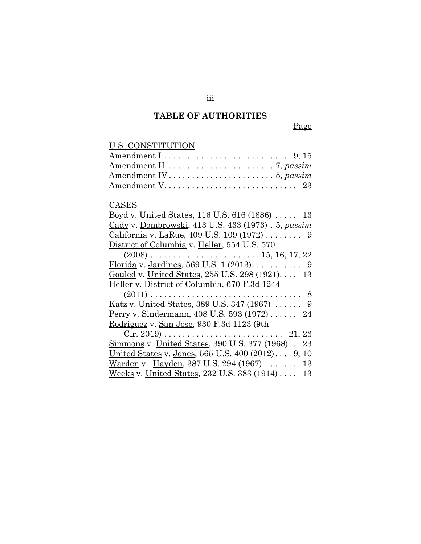# **TABLE OF AUTHORITIES**

Page

| U.S. CONSTITUTION |  |
|-------------------|--|
|                   |  |
|                   |  |
|                   |  |
|                   |  |

## **CASES**

| <u>Boyd</u> v. United States, 116 U.S. 616 (1886)  13          |
|----------------------------------------------------------------|
| Cady v. Dombrowski, 413 U.S. 433 (1973) . 5, passim            |
| California v. LaRue, 409 U.S. 109 (1972) 9                     |
| District of Columbia v. Heller, 554 U.S. 570                   |
|                                                                |
|                                                                |
| Gouled v. United States, 255 U.S. 298 (1921) 13                |
| Heller v. District of Columbia, 670 F.3d 1244                  |
|                                                                |
| <u>Katz</u> v. United States, 389 U.S. 347 (1967) $\ldots$ . 9 |
| Perry v. Sindermann, 408 U.S. 593 (1972)  24                   |
| Rodriguez v. San Jose, 930 F.3d 1123 (9th                      |
|                                                                |
| Simmons v. United States, 390 U.S. 377 (1968). 23              |
| United States v. Jones, 565 U.S. 400 (2012) 9, 10              |
| Warden v. Hayden, 387 U.S. 294 (1967)  13                      |
| Weeks v. United States, 232 U.S. 383 (1914)  13                |

iii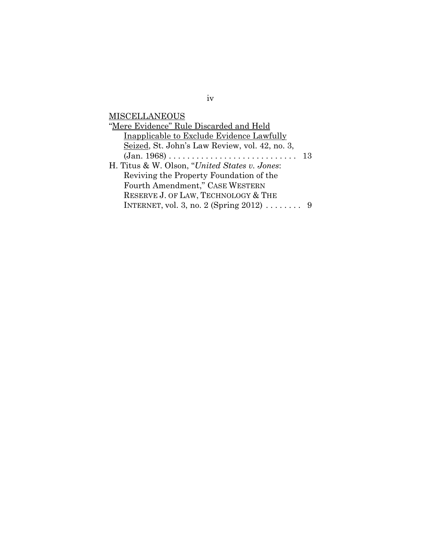**MISCELLANEOUS** 

| "Mere Evidence" Rule Discarded and Held                               |    |
|-----------------------------------------------------------------------|----|
| Inapplicable to Exclude Evidence Lawfully                             |    |
| Seized, St. John's Law Review, vol. 42, no. 3,                        |    |
| $(Jan. 1968) \ldots \ldots \ldots \ldots \ldots \ldots \ldots \ldots$ | 13 |
| H. Titus & W. Olson, "United States v. Jones:                         |    |
| Reviving the Property Foundation of the                               |    |
| Fourth Amendment," CASE WESTERN                                       |    |
| RESERVE J. OF LAW, TECHNOLOGY & THE                                   |    |
| INTERNET, vol. 3, no. 2 (Spring $2012$ )  9                           |    |

iv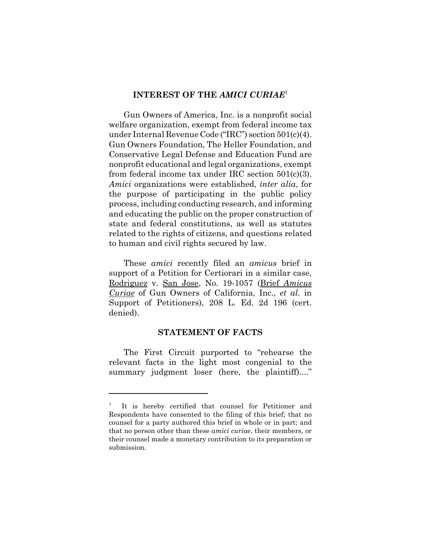## **INTEREST OF THE** *AMICI CURIAE*<sup>1</sup>

Gun Owners of America, Inc. is a nonprofit social welfare organization, exempt from federal income tax under Internal Revenue Code ("IRC") section 501(c)(4). Gun Owners Foundation, The Heller Foundation, and Conservative Legal Defense and Education Fund are nonprofit educational and legal organizations, exempt from federal income tax under IRC section 501(c)(3). *Amici* organizations were established, *inter alia*, for the purpose of participating in the public policy process, including conducting research, and informing and educating the public on the proper construction of state and federal constitutions, as well as statutes related to the rights of citizens, and questions related to human and civil rights secured by law.

These *amici* recently filed an *amicus* brief in support of a Petition for Certiorari in a similar case, Rodriguez v. San Jose, No. 19-1057 (Brief *Amicus Curiae* of Gun Owners of California, Inc., *et al.* in Support of Petitioners), 208 L. Ed. 2d 196 (cert. denied).

## **STATEMENT OF FACTS**

The First Circuit purported to "rehearse the relevant facts in the light most congenial to the summary judgment loser (here, the plaintiff)...."

<sup>1</sup> It is hereby certified that counsel for Petitioner and Respondents have consented to the filing of this brief; that no counsel for a party authored this brief in whole or in part; and that no person other than these *amici curiae*, their members, or their counsel made a monetary contribution to its preparation or submission.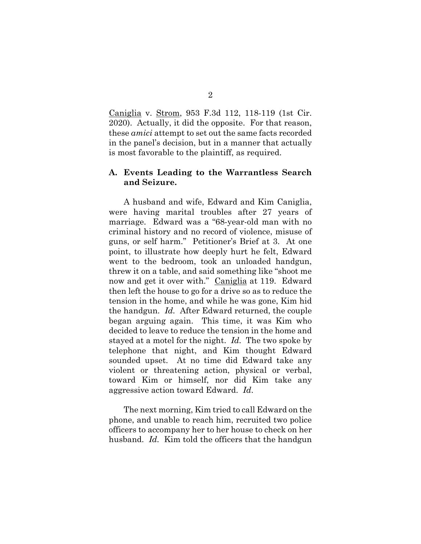Caniglia v. Strom, 953 F.3d 112, 118-119 (1st Cir. 2020). Actually, it did the opposite. For that reason, these *amici* attempt to set out the same facts recorded in the panel's decision, but in a manner that actually is most favorable to the plaintiff, as required.

## **A. Events Leading to the Warrantless Search and Seizure.**

A husband and wife, Edward and Kim Caniglia, were having marital troubles after 27 years of marriage. Edward was a "68-year-old man with no criminal history and no record of violence, misuse of guns, or self harm." Petitioner's Brief at 3. At one point, to illustrate how deeply hurt he felt, Edward went to the bedroom, took an unloaded handgun, threw it on a table, and said something like "shoot me now and get it over with." Caniglia at 119. Edward then left the house to go for a drive so as to reduce the tension in the home, and while he was gone, Kim hid the handgun. *Id.* After Edward returned, the couple began arguing again. This time, it was Kim who decided to leave to reduce the tension in the home and stayed at a motel for the night. *Id.* The two spoke by telephone that night, and Kim thought Edward sounded upset. At no time did Edward take any violent or threatening action, physical or verbal, toward Kim or himself, nor did Kim take any aggressive action toward Edward. *Id*.

The next morning, Kim tried to call Edward on the phone, and unable to reach him, recruited two police officers to accompany her to her house to check on her husband. *Id.* Kim told the officers that the handgun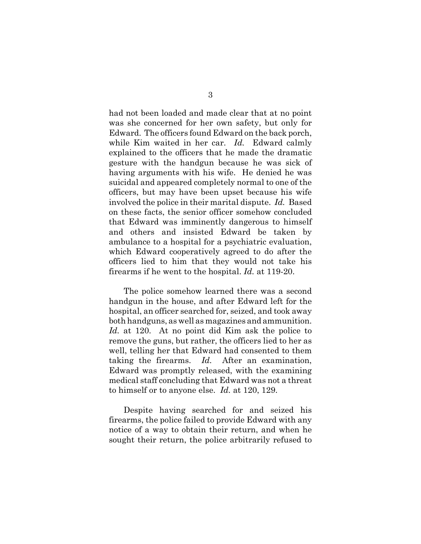had not been loaded and made clear that at no point was she concerned for her own safety, but only for Edward. The officers found Edward on the back porch, while Kim waited in her car. *Id.* Edward calmly explained to the officers that he made the dramatic gesture with the handgun because he was sick of having arguments with his wife. He denied he was suicidal and appeared completely normal to one of the officers, but may have been upset because his wife involved the police in their marital dispute. *Id.* Based on these facts, the senior officer somehow concluded that Edward was imminently dangerous to himself and others and insisted Edward be taken by ambulance to a hospital for a psychiatric evaluation, which Edward cooperatively agreed to do after the officers lied to him that they would not take his firearms if he went to the hospital. *Id.* at 119-20.

The police somehow learned there was a second handgun in the house, and after Edward left for the hospital, an officer searched for, seized, and took away both handguns, as well as magazines and ammunition. *Id.* at 120. At no point did Kim ask the police to remove the guns, but rather, the officers lied to her as well, telling her that Edward had consented to them taking the firearms. *Id.* After an examination, Edward was promptly released, with the examining medical staff concluding that Edward was not a threat to himself or to anyone else. *Id.* at 120, 129.

Despite having searched for and seized his firearms, the police failed to provide Edward with any notice of a way to obtain their return, and when he sought their return, the police arbitrarily refused to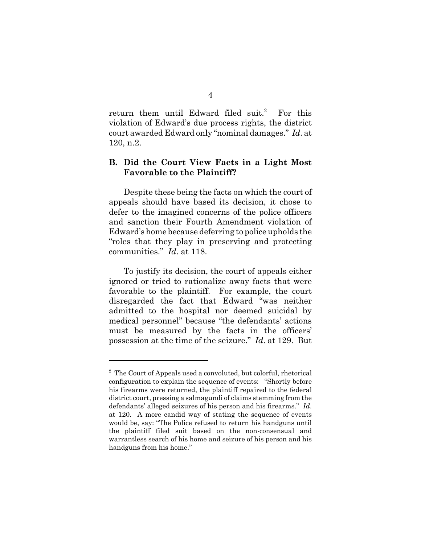return them until Edward filed suit.<sup>2</sup> For this violation of Edward's due process rights, the district court awarded Edward only "nominal damages." *Id*. at 120, n.2.

## **B. Did the Court View Facts in a Light Most Favorable to the Plaintiff?**

Despite these being the facts on which the court of appeals should have based its decision, it chose to defer to the imagined concerns of the police officers and sanction their Fourth Amendment violation of Edward's home because deferring to police upholds the "roles that they play in preserving and protecting communities." *Id*. at 118.

To justify its decision, the court of appeals either ignored or tried to rationalize away facts that were favorable to the plaintiff. For example, the court disregarded the fact that Edward "was neither admitted to the hospital nor deemed suicidal by medical personnel" because "the defendants' actions must be measured by the facts in the officers' possession at the time of the seizure." *Id*. at 129. But

<sup>&</sup>lt;sup>2</sup> The Court of Appeals used a convoluted, but colorful, rhetorical configuration to explain the sequence of events: "Shortly before his firearms were returned, the plaintiff repaired to the federal district court, pressing a salmagundi of claims stemming from the defendants' alleged seizures of his person and his firearms." *Id*. at 120. A more candid way of stating the sequence of events would be, say: "The Police refused to return his handguns until the plaintiff filed suit based on the non-consensual and warrantless search of his home and seizure of his person and his handguns from his home."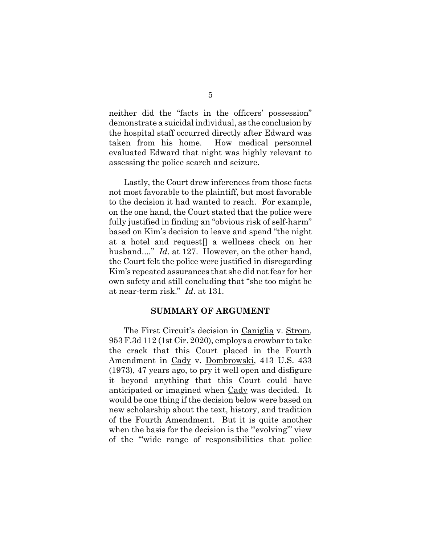neither did the "facts in the officers' possession" demonstrate a suicidal individual, as the conclusion by the hospital staff occurred directly after Edward was taken from his home. How medical personnel evaluated Edward that night was highly relevant to assessing the police search and seizure.

Lastly, the Court drew inferences from those facts not most favorable to the plaintiff, but most favorable to the decision it had wanted to reach. For example, on the one hand, the Court stated that the police were fully justified in finding an "obvious risk of self-harm" based on Kim's decision to leave and spend "the night at a hotel and request[] a wellness check on her husband...." *Id*. at 127. However, on the other hand, the Court felt the police were justified in disregarding Kim's repeated assurances that she did not fear for her own safety and still concluding that "she too might be at near-term risk." *Id*. at 131.

## **SUMMARY OF ARGUMENT**

The First Circuit's decision in Caniglia v. Strom, 953 F.3d 112 (1st Cir. 2020), employs a crowbar to take the crack that this Court placed in the Fourth Amendment in Cady v. Dombrowski, 413 U.S. 433 (1973), 47 years ago, to pry it well open and disfigure it beyond anything that this Court could have anticipated or imagined when Cady was decided. It would be one thing if the decision below were based on new scholarship about the text, history, and tradition of the Fourth Amendment. But it is quite another when the basis for the decision is the "evolving" view of the "'wide range of responsibilities that police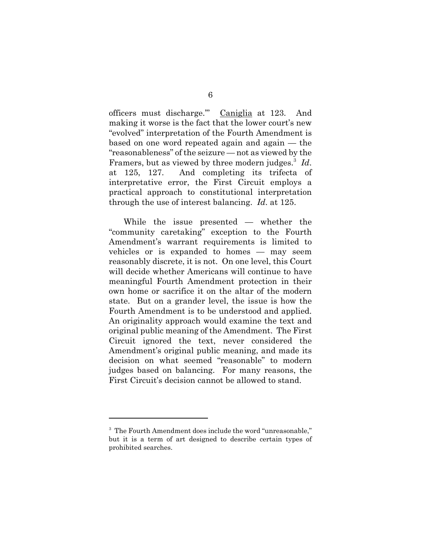officers must discharge.'" Caniglia at 123. And making it worse is the fact that the lower court's new "evolved" interpretation of the Fourth Amendment is based on one word repeated again and again — the "reasonableness" of the seizure — not as viewed by the Framers, but as viewed by three modern judges.<sup>3</sup> Id. at 125, 127. And completing its trifecta of interpretative error, the First Circuit employs a practical approach to constitutional interpretation through the use of interest balancing. *Id*. at 125.

While the issue presented — whether the "community caretaking" exception to the Fourth Amendment's warrant requirements is limited to vehicles or is expanded to homes — may seem reasonably discrete, it is not. On one level, this Court will decide whether Americans will continue to have meaningful Fourth Amendment protection in their own home or sacrifice it on the altar of the modern state. But on a grander level, the issue is how the Fourth Amendment is to be understood and applied. An originality approach would examine the text and original public meaning of the Amendment. The First Circuit ignored the text, never considered the Amendment's original public meaning, and made its decision on what seemed "reasonable" to modern judges based on balancing. For many reasons, the First Circuit's decision cannot be allowed to stand.

<sup>&</sup>lt;sup>3</sup> The Fourth Amendment does include the word "unreasonable," but it is a term of art designed to describe certain types of prohibited searches.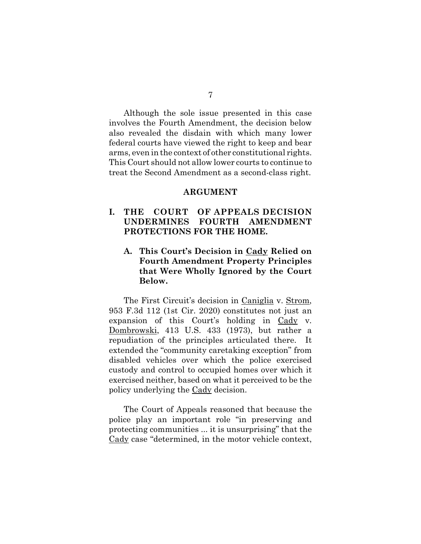Although the sole issue presented in this case involves the Fourth Amendment, the decision below also revealed the disdain with which many lower federal courts have viewed the right to keep and bear arms, even in the context of other constitutional rights. This Court should not allow lower courts to continue to treat the Second Amendment as a second-class right.

#### **ARGUMENT**

## **I. THE COURT OF APPEALS DECISION UNDERMINES FOURTH AMENDMENT PROTECTIONS FOR THE HOME.**

## **A. This Court's Decision in Cady Relied on Fourth Amendment Property Principles that Were Wholly Ignored by the Court Below.**

The First Circuit's decision in Caniglia v. Strom, 953 F.3d 112 (1st Cir. 2020) constitutes not just an expansion of this Court's holding in Cady v. Dombrowski, 413 U.S. 433 (1973), but rather a repudiation of the principles articulated there. It extended the "community caretaking exception" from disabled vehicles over which the police exercised custody and control to occupied homes over which it exercised neither, based on what it perceived to be the policy underlying the Cady decision.

The Court of Appeals reasoned that because the police play an important role "in preserving and protecting communities ... it is unsurprising" that the Cady case "determined, in the motor vehicle context,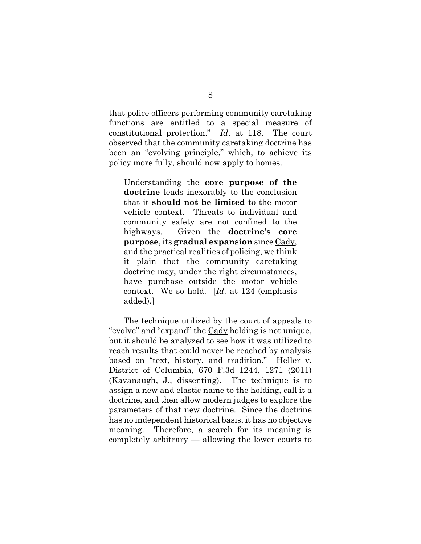that police officers performing community caretaking functions are entitled to a special measure of constitutional protection." *Id*. at 118. The court observed that the community caretaking doctrine has been an "evolving principle," which, to achieve its policy more fully, should now apply to homes.

Understanding the **core purpose of the doctrine** leads inexorably to the conclusion that it **should not be limited** to the motor vehicle context. Threats to individual and community safety are not confined to the highways. Given the **doctrine's core purpose**, its **gradual expansion** since Cady, and the practical realities of policing, we think it plain that the community caretaking doctrine may, under the right circumstances, have purchase outside the motor vehicle context. We so hold. [*Id.* at 124 (emphasis added).]

The technique utilized by the court of appeals to "evolve" and "expand" the Cady holding is not unique, but it should be analyzed to see how it was utilized to reach results that could never be reached by analysis based on "text, history, and tradition." Heller v. District of Columbia, 670 F.3d 1244, 1271 (2011) (Kavanaugh, J., dissenting). The technique is to assign a new and elastic name to the holding, call it a doctrine, and then allow modern judges to explore the parameters of that new doctrine. Since the doctrine has no independent historical basis, it has no objective meaning. Therefore, a search for its meaning is completely arbitrary — allowing the lower courts to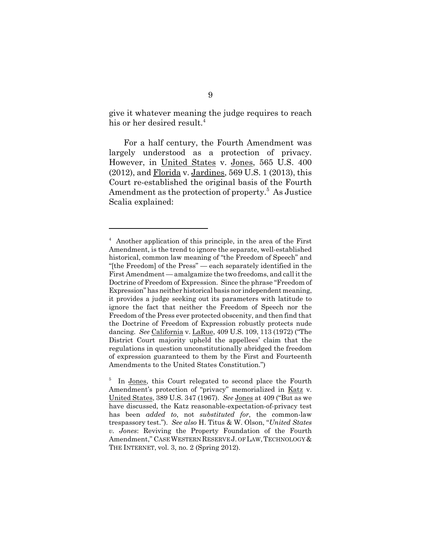give it whatever meaning the judge requires to reach his or her desired result.<sup>4</sup>

For a half century, the Fourth Amendment was largely understood as a protection of privacy. However, in United States v. Jones, 565 U.S. 400  $(2012)$ , and  $\overline{\text{Florida}}$  v. Jardines, 569 U.S. 1 (2013), this Court re-established the original basis of the Fourth Amendment as the protection of property.<sup>5</sup> As Justice Scalia explained:

<sup>4</sup> Another application of this principle, in the area of the First Amendment, is the trend to ignore the separate, well-established historical, common law meaning of "the Freedom of Speech" and "[the Freedom] of the Press" — each separately identified in the First Amendment — amalgamize the two freedoms, and call it the Doctrine of Freedom of Expression. Since the phrase "Freedom of Expression" has neither historical basis nor independent meaning, it provides a judge seeking out its parameters with latitude to ignore the fact that neither the Freedom of Speech nor the Freedom of the Press ever protected obscenity, and then find that the Doctrine of Freedom of Expression robustly protects nude dancing. *See* California v. LaRue, 409 U.S. 109, 113 (1972) ("The District Court majority upheld the appellees' claim that the regulations in question unconstitutionally abridged the freedom of expression guaranteed to them by the First and Fourteenth Amendments to the United States Constitution.")

<sup>5</sup> In Jones, this Court relegated to second place the Fourth Amendment's protection of "privacy" memorialized in Katz v. United States, 389 U.S. 347 (1967). *See* Jones at 409 ("But as we have discussed, the Katz reasonable-expectation-of-privacy test has been *added to*, not *substituted for*, the common-law trespassory test."). *See also* H. Titus & W. Olson, "*United States v. Jones*: Reviving the Property Foundation of the Fourth Amendment," CASE WESTERN RESERVE J. OF LAW, TECHNOLOGY & THE INTERNET, vol. 3, no. 2 (Spring 2012).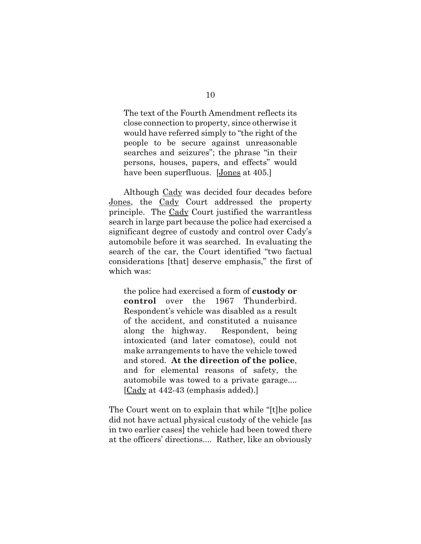The text of the Fourth Amendment reflects its close connection to property, since otherwise it would have referred simply to "the right of the people to be secure against unreasonable searches and seizures"; the phrase "in their persons, houses, papers, and effects" would have been superfluous. [Jones at 405.]

Although Cady was decided four decades before Jones, the Cady Court addressed the property principle. The Cady Court justified the warrantless search in large part because the police had exercised a significant degree of custody and control over Cady's automobile before it was searched. In evaluating the search of the car, the Court identified "two factual considerations [that] deserve emphasis," the first of which was:

the police had exercised a form of **custody or control** over the 1967 Thunderbird. Respondent's vehicle was disabled as a result of the accident, and constituted a nuisance along the highway. Respondent, being intoxicated (and later comatose), could not make arrangements to have the vehicle towed and stored. **At the direction of the police**, and for elemental reasons of safety, the automobile was towed to a private garage.... [Cady at 442-43 (emphasis added).]

The Court went on to explain that while "[t]he police did not have actual physical custody of the vehicle [as in two earlier cases] the vehicle had been towed there at the officers' directions.... Rather, like an obviously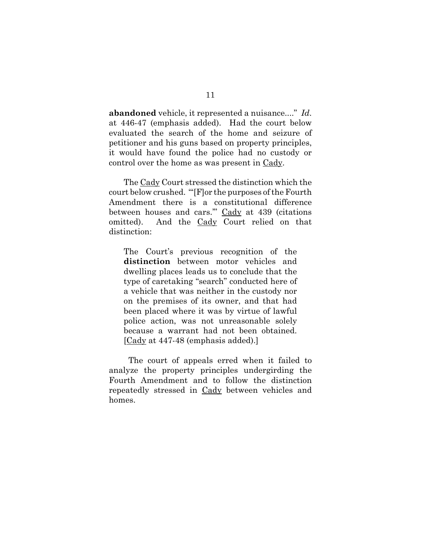**abandoned** vehicle, it represented a nuisance...." *Id*. at 446-47 (emphasis added). Had the court below evaluated the search of the home and seizure of petitioner and his guns based on property principles, it would have found the police had no custody or control over the home as was present in Cady.

The Cady Court stressed the distinction which the court below crushed. "'[F]or the purposes of the Fourth Amendment there is a constitutional difference between houses and cars.'" Cady at 439 (citations omitted). And the Cady Court relied on that distinction:

The Court's previous recognition of the **distinction** between motor vehicles and dwelling places leads us to conclude that the type of caretaking "search" conducted here of a vehicle that was neither in the custody nor on the premises of its owner, and that had been placed where it was by virtue of lawful police action, was not unreasonable solely because a warrant had not been obtained. [Cady at 447-48 (emphasis added).]

 The court of appeals erred when it failed to analyze the property principles undergirding the Fourth Amendment and to follow the distinction repeatedly stressed in Cady between vehicles and homes.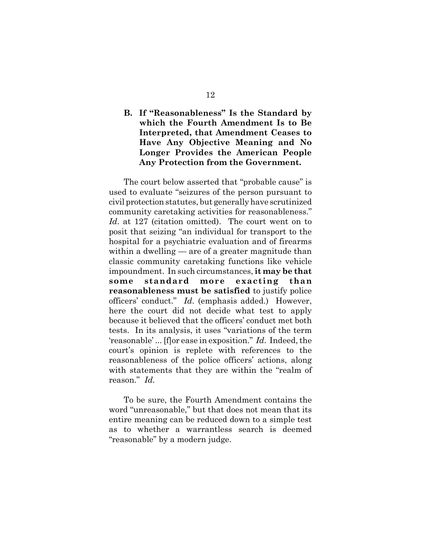## **B. If "Reasonableness" Is the Standard by which the Fourth Amendment Is to Be Interpreted, that Amendment Ceases to Have Any Objective Meaning and No Longer Provides the American People Any Protection from the Government.**

The court below asserted that "probable cause" is used to evaluate "seizures of the person pursuant to civil protection statutes, but generally have scrutinized community caretaking activities for reasonableness." *Id*. at 127 (citation omitted). The court went on to posit that seizing "an individual for transport to the hospital for a psychiatric evaluation and of firearms within a dwelling — are of a greater magnitude than classic community caretaking functions like vehicle impoundment. In such circumstances, **it may be that some standard more exacting than reasonableness must be satisfied** to justify police officers' conduct." *Id*. (emphasis added.) However, here the court did not decide what test to apply because it believed that the officers' conduct met both tests. In its analysis, it uses "variations of the term 'reasonable' ... [f]or ease in exposition." *Id*. Indeed, the court's opinion is replete with references to the reasonableness of the police officers' actions, along with statements that they are within the "realm of reason." *Id.*

To be sure, the Fourth Amendment contains the word "unreasonable," but that does not mean that its entire meaning can be reduced down to a simple test as to whether a warrantless search is deemed "reasonable" by a modern judge.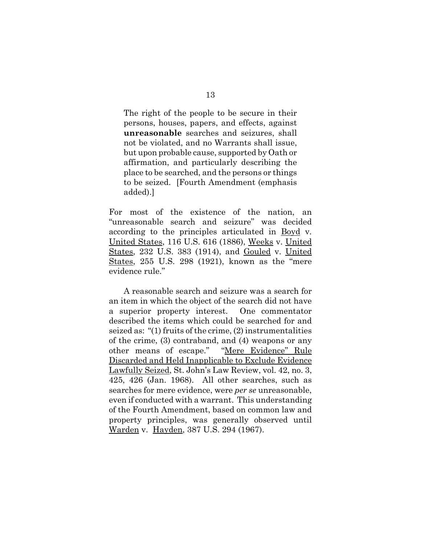The right of the people to be secure in their persons, houses, papers, and effects, against **unreasonable** searches and seizures, shall not be violated, and no Warrants shall issue, but upon probable cause, supported by Oath or affirmation, and particularly describing the place to be searched, and the persons or things to be seized. [Fourth Amendment (emphasis added).]

For most of the existence of the nation, an "unreasonable search and seizure" was decided according to the principles articulated in Boyd v. United States, 116 U.S. 616 (1886), Weeks v. United States, 232 U.S. 383 (1914), and Gouled v. United States, 255 U.S. 298 (1921), known as the "mere evidence rule."

A reasonable search and seizure was a search for an item in which the object of the search did not have a superior property interest. One commentator described the items which could be searched for and seized as: "(1) fruits of the crime, (2) instrumentalities of the crime, (3) contraband, and (4) weapons or any other means of escape." "Mere Evidence" Rule Discarded and Held Inapplicable to Exclude Evidence Lawfully Seized, St. John's Law Review, vol. 42, no. 3, 425, 426 (Jan. 1968). All other searches, such as searches for mere evidence, were *per se* unreasonable, even if conducted with a warrant. This understanding of the Fourth Amendment, based on common law and property principles, was generally observed until Warden v. Hayden, 387 U.S. 294 (1967).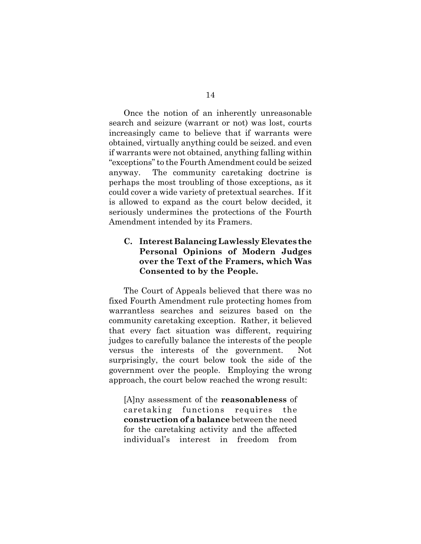Once the notion of an inherently unreasonable search and seizure (warrant or not) was lost, courts increasingly came to believe that if warrants were obtained, virtually anything could be seized. and even if warrants were not obtained, anything falling within "exceptions" to the Fourth Amendment could be seized anyway. The community caretaking doctrine is perhaps the most troubling of those exceptions, as it could cover a wide variety of pretextual searches. If it is allowed to expand as the court below decided, it seriously undermines the protections of the Fourth Amendment intended by its Framers.

## **C. Interest Balancing Lawlessly Elevates the Personal Opinions of Modern Judges over the Text of the Framers, which Was Consented to by the People.**

The Court of Appeals believed that there was no fixed Fourth Amendment rule protecting homes from warrantless searches and seizures based on the community caretaking exception. Rather, it believed that every fact situation was different, requiring judges to carefully balance the interests of the people versus the interests of the government. Not surprisingly, the court below took the side of the government over the people. Employing the wrong approach, the court below reached the wrong result:

[A]ny assessment of the **reasonableness** of caretaking functions requires the **construction of a balance** between the need for the caretaking activity and the affected individual's interest in freedom from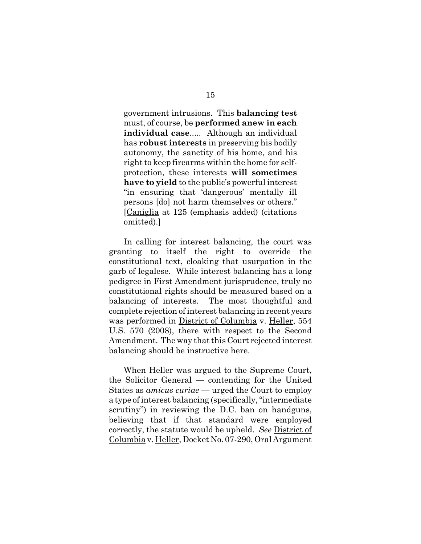government intrusions. This **balancing test** must, of course, be **performed anew in each individual case**..... Although an individual has **robust interests** in preserving his bodily autonomy, the sanctity of his home, and his right to keep firearms within the home for selfprotection, these interests **will sometimes have to yield** to the public's powerful interest "in ensuring that 'dangerous' mentally ill persons [do] not harm themselves or others." [Caniglia at 125 (emphasis added) (citations omitted).]

In calling for interest balancing, the court was granting to itself the right to override the constitutional text, cloaking that usurpation in the garb of legalese. While interest balancing has a long pedigree in First Amendment jurisprudence, truly no constitutional rights should be measured based on a balancing of interests. The most thoughtful and complete rejection of interest balancing in recent years was performed in District of Columbia v. Heller, 554 U.S. 570 (2008), there with respect to the Second Amendment. The way that this Court rejected interest balancing should be instructive here.

When Heller was argued to the Supreme Court, the Solicitor General — contending for the United States as *amicus curiae* — urged the Court to employ a type of interest balancing (specifically, "intermediate scrutiny") in reviewing the D.C. ban on handguns, believing that if that standard were employed correctly, the statute would be upheld. *See* District of Columbia v. Heller, Docket No. 07-290, Oral Argument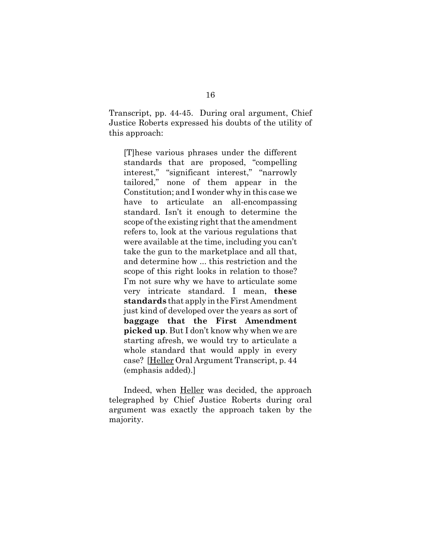Transcript, pp. 44-45. During oral argument, Chief Justice Roberts expressed his doubts of the utility of this approach:

[T]hese various phrases under the different standards that are proposed, "compelling interest," "significant interest," "narrowly tailored," none of them appear in the Constitution; and I wonder why in this case we have to articulate an all-encompassing standard. Isn't it enough to determine the scope of the existing right that the amendment refers to, look at the various regulations that were available at the time, including you can't take the gun to the marketplace and all that, and determine how ... this restriction and the scope of this right looks in relation to those? I'm not sure why we have to articulate some very intricate standard. I mean, **these standards** that apply in the First Amendment just kind of developed over the years as sort of **baggage that the First Amendment picked up**. But I don't know why when we are starting afresh, we would try to articulate a whole standard that would apply in every case? [Heller Oral Argument Transcript, p. 44 (emphasis added).]

Indeed, when Heller was decided, the approach telegraphed by Chief Justice Roberts during oral argument was exactly the approach taken by the majority.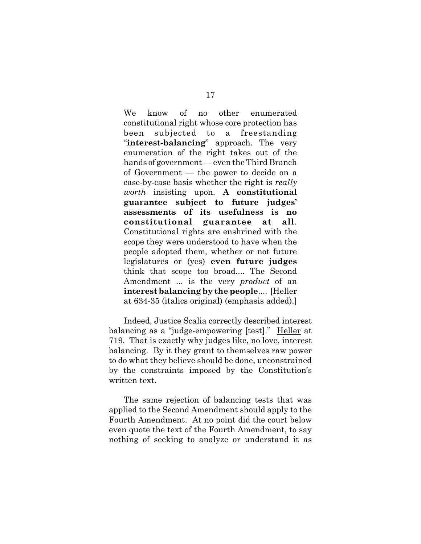We know of no other enumerated constitutional right whose core protection has been subjected to a freestanding "**interest-balancing**" approach. The very enumeration of the right takes out of the hands of government — even the Third Branch of Government — the power to decide on a case-by-case basis whether the right is *really worth* insisting upon. **A constitutional guarantee subject to future judges' assessments of its usefulness is no constitutional guarantee at all**. Constitutional rights are enshrined with the scope they were understood to have when the people adopted them, whether or not future legislatures or (yes) **even future judges** think that scope too broad.... The Second Amendment ... is the very *product* of an **interest balancing by the people**.... [Heller at 634-35 (italics original) (emphasis added).]

Indeed, Justice Scalia correctly described interest balancing as a "judge-empowering [test]." Heller at 719. That is exactly why judges like, no love, interest balancing. By it they grant to themselves raw power to do what they believe should be done, unconstrained by the constraints imposed by the Constitution's written text.

The same rejection of balancing tests that was applied to the Second Amendment should apply to the Fourth Amendment. At no point did the court below even quote the text of the Fourth Amendment, to say nothing of seeking to analyze or understand it as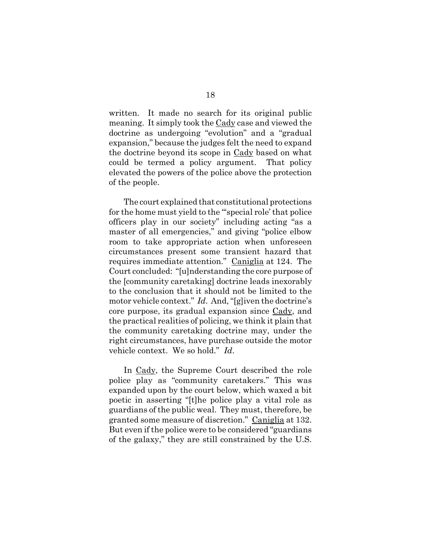written. It made no search for its original public meaning. It simply took the Cady case and viewed the doctrine as undergoing "evolution" and a "gradual expansion," because the judges felt the need to expand the doctrine beyond its scope in Cady based on what could be termed a policy argument. That policy elevated the powers of the police above the protection of the people.

The court explained that constitutional protections for the home must yield to the "'special role' that police officers play in our society" including acting "as a master of all emergencies," and giving "police elbow room to take appropriate action when unforeseen circumstances present some transient hazard that requires immediate attention." Caniglia at 124. The Court concluded: "[u]nderstanding the core purpose of the [community caretaking] doctrine leads inexorably to the conclusion that it should not be limited to the motor vehicle context." *Id*. And, "[g]iven the doctrine's core purpose, its gradual expansion since Cady, and the practical realities of policing, we think it plain that the community caretaking doctrine may, under the right circumstances, have purchase outside the motor vehicle context. We so hold." *Id*.

In Cady, the Supreme Court described the role police play as "community caretakers." This was expanded upon by the court below, which waxed a bit poetic in asserting "[t]he police play a vital role as guardians of the public weal. They must, therefore, be granted some measure of discretion." Caniglia at 132. But even if the police were to be considered "guardians of the galaxy," they are still constrained by the U.S.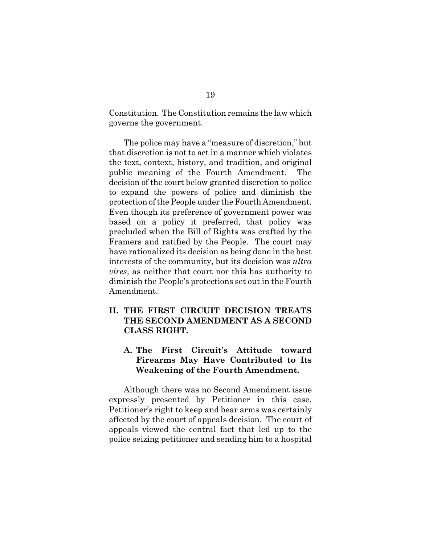Constitution. The Constitution remains the law which governs the government.

The police may have a "measure of discretion," but that discretion is not to act in a manner which violates the text, context, history, and tradition, and original public meaning of the Fourth Amendment. The decision of the court below granted discretion to police to expand the powers of police and diminish the protection of the People under the Fourth Amendment. Even though its preference of government power was based on a policy it preferred, that policy was precluded when the Bill of Rights was crafted by the Framers and ratified by the People. The court may have rationalized its decision as being done in the best interests of the community, but its decision was *ultra vires*, as neither that court nor this has authority to diminish the People's protections set out in the Fourth Amendment.

## **II. THE FIRST CIRCUIT DECISION TREATS THE SECOND AMENDMENT AS A SECOND CLASS RIGHT.**

## **A. The First Circuit's Attitude toward Firearms May Have Contributed to Its Weakening of the Fourth Amendment.**

Although there was no Second Amendment issue expressly presented by Petitioner in this case, Petitioner's right to keep and bear arms was certainly affected by the court of appeals decision. The court of appeals viewed the central fact that led up to the police seizing petitioner and sending him to a hospital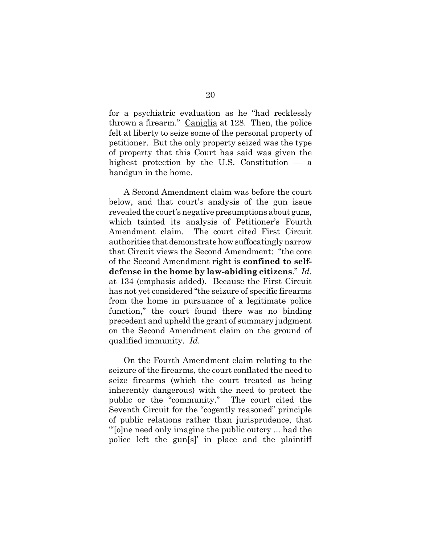for a psychiatric evaluation as he "had recklessly thrown a firearm." Caniglia at 128. Then, the police felt at liberty to seize some of the personal property of petitioner. But the only property seized was the type of property that this Court has said was given the highest protection by the U.S. Constitution — a handgun in the home.

A Second Amendment claim was before the court below, and that court's analysis of the gun issue revealed the court's negative presumptions about guns, which tainted its analysis of Petitioner's Fourth Amendment claim. The court cited First Circuit authorities that demonstrate how suffocatingly narrow that Circuit views the Second Amendment: "the core of the Second Amendment right is **confined to selfdefense in the home by law-abiding citizens**." *Id*. at 134 (emphasis added). Because the First Circuit has not yet considered "the seizure of specific firearms from the home in pursuance of a legitimate police function," the court found there was no binding precedent and upheld the grant of summary judgment on the Second Amendment claim on the ground of qualified immunity. *Id*.

On the Fourth Amendment claim relating to the seizure of the firearms, the court conflated the need to seize firearms (which the court treated as being inherently dangerous) with the need to protect the public or the "community." The court cited the Seventh Circuit for the "cogently reasoned" principle of public relations rather than jurisprudence, that "'[o]ne need only imagine the public outcry ... had the police left the gun[s]' in place and the plaintiff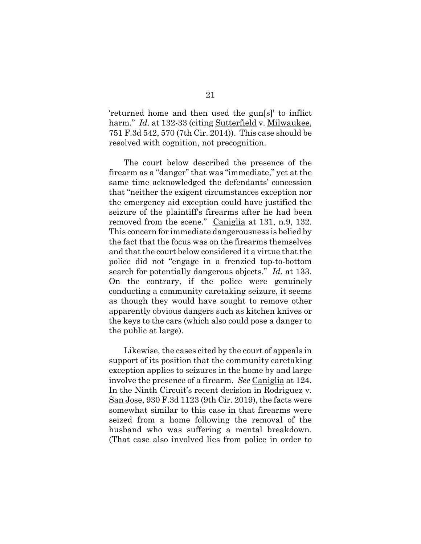'returned home and then used the gun[s]' to inflict harm." *Id.* at 132-33 (citing Sutterfield v. Milwaukee, 751 F.3d 542, 570 (7th Cir. 2014)). This case should be resolved with cognition, not precognition.

The court below described the presence of the firearm as a "danger" that was "immediate," yet at the same time acknowledged the defendants' concession that "neither the exigent circumstances exception nor the emergency aid exception could have justified the seizure of the plaintiff's firearms after he had been removed from the scene." Caniglia at 131, n.9, 132. This concern for immediate dangerousness is belied by the fact that the focus was on the firearms themselves and that the court below considered it a virtue that the police did not "engage in a frenzied top-to-bottom search for potentially dangerous objects." *Id*. at 133. On the contrary, if the police were genuinely conducting a community caretaking seizure, it seems as though they would have sought to remove other apparently obvious dangers such as kitchen knives or the keys to the cars (which also could pose a danger to the public at large).

Likewise, the cases cited by the court of appeals in support of its position that the community caretaking exception applies to seizures in the home by and large involve the presence of a firearm. *See* Caniglia at 124. In the Ninth Circuit's recent decision in Rodriguez v. San Jose, 930 F.3d 1123 (9th Cir. 2019), the facts were somewhat similar to this case in that firearms were seized from a home following the removal of the husband who was suffering a mental breakdown. (That case also involved lies from police in order to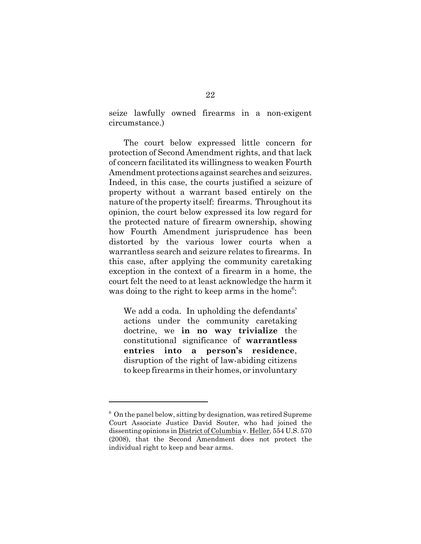seize lawfully owned firearms in a non-exigent circumstance.)

The court below expressed little concern for protection of Second Amendment rights, and that lack of concern facilitated its willingness to weaken Fourth Amendment protections against searches and seizures. Indeed, in this case, the courts justified a seizure of property without a warrant based entirely on the nature of the property itself: firearms. Throughout its opinion, the court below expressed its low regard for the protected nature of firearm ownership, showing how Fourth Amendment jurisprudence has been distorted by the various lower courts when a warrantless search and seizure relates to firearms. In this case, after applying the community caretaking exception in the context of a firearm in a home, the court felt the need to at least acknowledge the harm it was doing to the right to keep arms in the home<sup>6</sup>:

We add a coda. In upholding the defendants' actions under the community caretaking doctrine, we **in no way trivialize** the constitutional significance of **warrantless entries into a person's residence**, disruption of the right of law-abiding citizens to keep firearms in their homes, or involuntary

<sup>&</sup>lt;sup>6</sup> On the panel below, sitting by designation, was retired Supreme Court Associate Justice David Souter, who had joined the dissenting opinions in District of Columbia v. Heller, 554 U.S. 570 (2008), that the Second Amendment does not protect the individual right to keep and bear arms.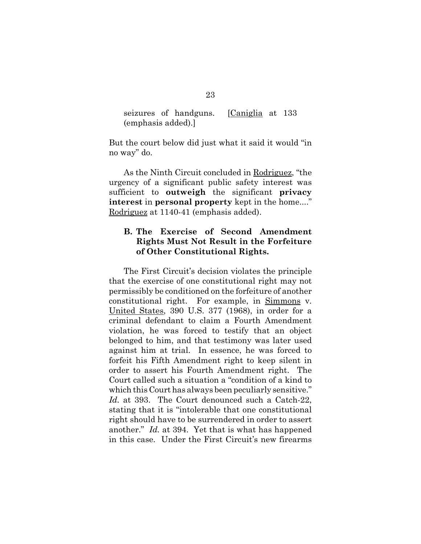|                    | seizures of handguns. | [Caniglia at 133] |  |
|--------------------|-----------------------|-------------------|--|
| (emphasis added).] |                       |                   |  |

But the court below did just what it said it would "in no way" do.

As the Ninth Circuit concluded in Rodriguez, "the urgency of a significant public safety interest was sufficient to **outweigh** the significant **privacy interest in personal property** kept in the home...." Rodriguez at 1140-41 (emphasis added).

## **B. The Exercise of Second Amendment Rights Must Not Result in the Forfeiture of Other Constitutional Rights.**

The First Circuit's decision violates the principle that the exercise of one constitutional right may not permissibly be conditioned on the forfeiture of another constitutional right. For example, in Simmons v. United States, 390 U.S. 377 (1968), in order for a criminal defendant to claim a Fourth Amendment violation, he was forced to testify that an object belonged to him, and that testimony was later used against him at trial. In essence, he was forced to forfeit his Fifth Amendment right to keep silent in order to assert his Fourth Amendment right. The Court called such a situation a "condition of a kind to which this Court has always been peculiarly sensitive." Id. at 393. The Court denounced such a Catch-22, stating that it is "intolerable that one constitutional right should have to be surrendered in order to assert another." *Id.* at 394. Yet that is what has happened in this case. Under the First Circuit's new firearms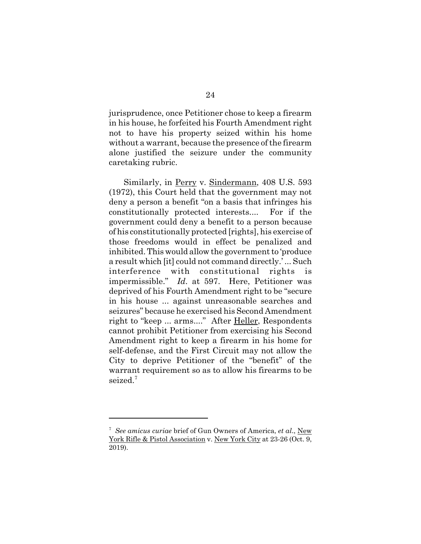jurisprudence, once Petitioner chose to keep a firearm in his house, he forfeited his Fourth Amendment right not to have his property seized within his home without a warrant, because the presence of the firearm alone justified the seizure under the community caretaking rubric.

Similarly, in Perry v. Sindermann, 408 U.S. 593 (1972), this Court held that the government may not deny a person a benefit "on a basis that infringes his constitutionally protected interests.... For if the government could deny a benefit to a person because of his constitutionally protected [rights], his exercise of those freedoms would in effect be penalized and inhibited. This would allow the government to 'produce a result which [it] could not command directly.' ... Such interference with constitutional rights is impermissible." *Id*. at 597. Here, Petitioner was deprived of his Fourth Amendment right to be "secure in his house ... against unreasonable searches and seizures" because he exercised his Second Amendment right to "keep ... arms...." After Heller, Respondents cannot prohibit Petitioner from exercising his Second Amendment right to keep a firearm in his home for self-defense, and the First Circuit may not allow the City to deprive Petitioner of the "benefit" of the warrant requirement so as to allow his firearms to be seized.<sup>7</sup>

<sup>7</sup> *See amicus curiae* brief of Gun Owners of America, *et al*., New York Rifle & Pistol Association v. New York City at 23-26 (Oct. 9, 2019).